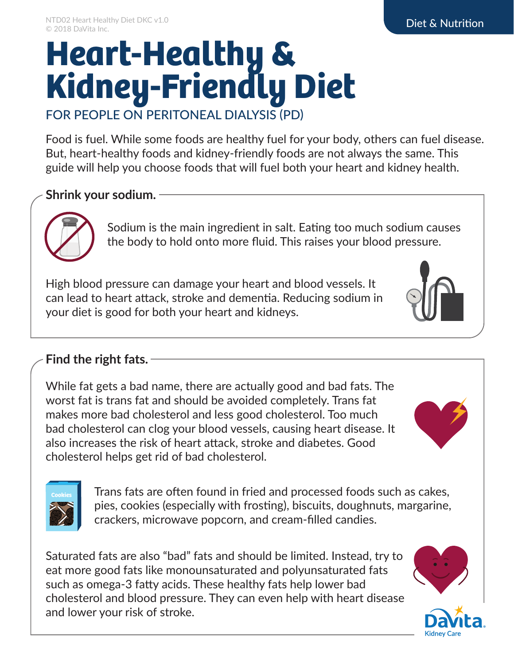## **Heart-Healthy & Kidney-Friendly Diet** FOR PEOPLE ON PERITONEAL DIALYSIS (PD)

Food is fuel. While some foods are healthy fuel for your body, others can fuel disease. But, heart-healthy foods and kidney-friendly foods are not always the same. This guide will help you choose foods that will fuel both your heart and kidney health.

### **Shrink your sodium.**



Sodium is the main ingredient in salt. Eating too much sodium causes the body to hold onto more fluid. This raises your blood pressure.

High blood pressure can damage your heart and blood vessels. It can lead to heart attack, stroke and dementia. Reducing sodium in your diet is good for both your heart and kidneys.



### **Find the right fats.**

While fat gets a bad name, there are actually good and bad fats. The worst fat is trans fat and should be avoided completely. Trans fat makes more bad cholesterol and less good cholesterol. Too much bad cholesterol can clog your blood vessels, causing heart disease. It also increases the risk of heart attack, stroke and diabetes. Good cholesterol helps get rid of bad cholesterol.





**Cookies** Trans fats are often found in fried and processed foods such as cakes, pies, cookies (especially with frosting), biscuits, doughnuts, margarine, crackers, microwave popcorn, and cream-filled candies.

Saturated fats are also "bad" fats and should be limited. Instead, try to eat more good fats like monounsaturated and polyunsaturated fats such as omega-3 fatty acids. These healthy fats help lower bad cholesterol and blood pressure. They can even help with heart disease and lower your risk of stroke.



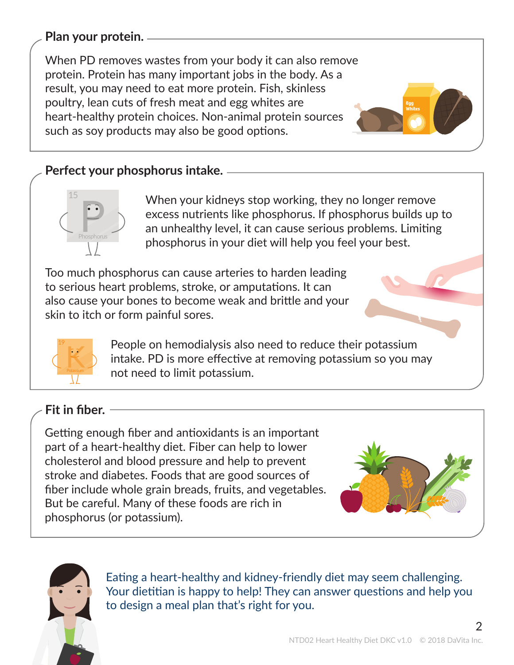### **Plan your protein.**

When PD removes wastes from your body it can also remove protein. Protein has many important jobs in the body. As a result, you may need to eat more protein. Fish, skinless poultry, lean cuts of fresh meat and egg whites are heart-healthy protein choices. Non-animal protein sources such as soy products may also be good options.

### **Perfect your phosphorus intake.**



When your kidneys stop working, they no longer remove excess nutrients like phosphorus. If phosphorus builds up to an unhealthy level, it can cause serious problems. Limiting phosphorus in your diet will help you feel your best.

Too much phosphorus can cause arteries to harden leading to serious heart problems, stroke, or amputations. It can also cause your bones to become weak and brittle and your skin to itch or form painful sores.

> People on hemodialysis also need to reduce their potassium intake. PD is more effective at removing potassium so you may not need to limit potassium.

### **Fit in fiber.**

**Potassium** 

19

Getting enough fiber and antioxidants is an important part of a heart-healthy diet. Fiber can help to lower cholesterol and blood pressure and help to prevent stroke and diabetes. Foods that are good sources of fiber include whole grain breads, fruits, and vegetables. But be careful. Many of these foods are rich in phosphorus (or potassium).



**Egg Whites**



Eating a heart-healthy and kidney-friendly diet may seem challenging. Your dietitian is happy to help! They can answer questions and help you to design a meal plan that's right for you.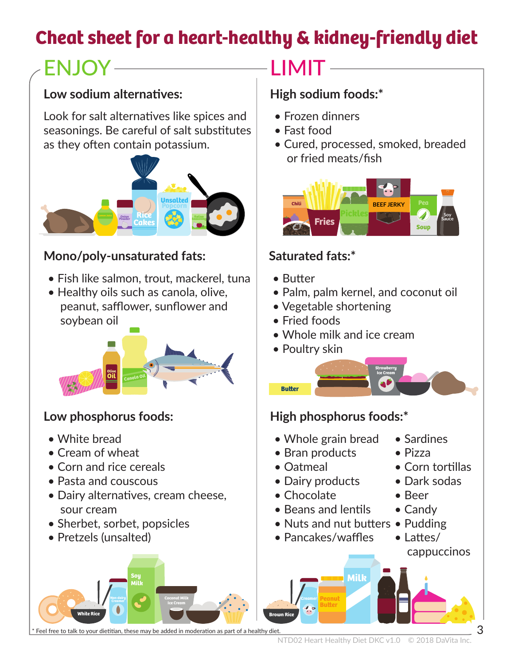## **Cheat sheet for a heart-healthy & kidney-friendly diet**

# $ENJOY$   $\longrightarrow$  LIMIT  $\longrightarrow$

### Low sodium alternatives: **High sodium foods:**\*

Look for salt alternatives like spices and seasonings. Be careful of salt substitutes as they often contain potassium.



### **Mono/poly-unsaturated fats:**

- Fish like salmon, trout, mackerel, tuna
- Healthy oils such as canola, olive, peanut, safflower, sunflower and soybean oil



- White bread
- Cream of wheat
- Corn and rice cereals
- Pasta and couscous
- Dairy alternatives, cream cheese, sour cream

**Milk**

• Sherbet, sorbet, popsicles

**Non-dairy Creamer**

• Pretzels (unsalted)

**White Rice**

- Frozen dinners
- Fast food
- Cured, processed, smoked, breaded or fried meats/fish



### **Saturated fats:\***

• Butter

**Buer**

• Palm, palm kernel, and coconut oil

**Strawberry**

- Vegetable shortening
- Fried foods
- Whole milk and ice cream
- Poultry skin

### Low phosphorus foods: **High phosphorus foods:**

- Whole grain bread
- Bran products
- Oatmeal

**Milk Soy**

**Brown Rice**

- Dairy products Dark sodas
- Chocolate
- Beans and lentils
- Nuts and nut butters Pudding
- Pancakes/waffles

**Peanut Butter** 

- Sardines
- Pizza
- Corn tortillas
- 
- Beer
- Candy
- 
- Lattes/ cappuccinos

Feel free to talk to your dietitian, these may be added in moderation as part of a healthy diet.

**Coconut Milk**